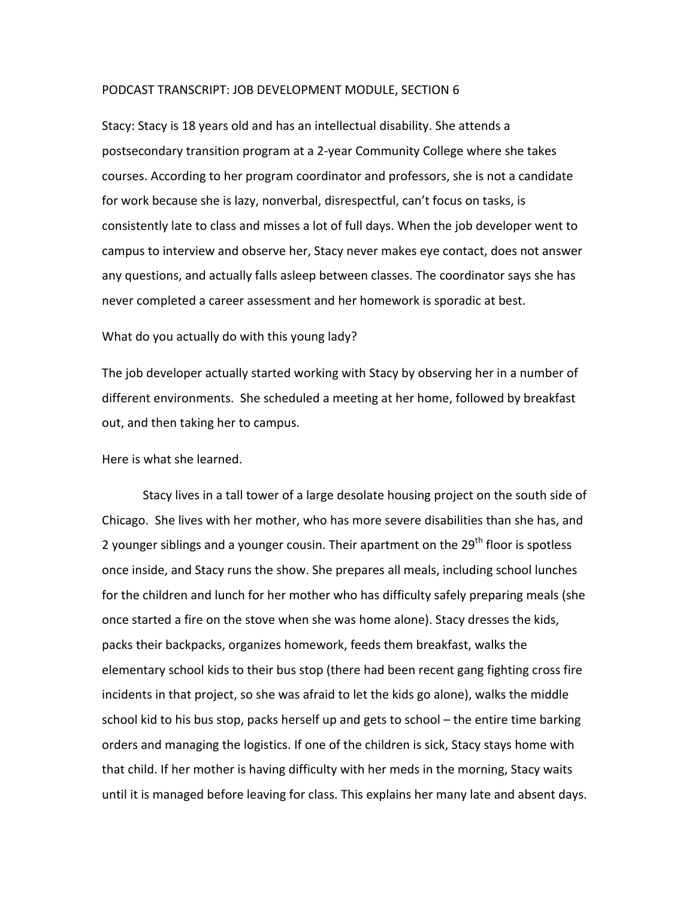## PODCAST TRANSCRIPT: JOB DEVELOPMENT MODULE, SECTION 6

Stacy: Stacy is 18 years old and has an intellectual disability. She attends a postsecondary transition program at a 2-year Community College where she takes courses. According to her program coordinator and professors, she is not a candidate for work because she is lazy, nonverbal, disrespectful, can't focus on tasks, is consistently late to class and misses a lot of full days. When the job developer went to campus to interview and observe her, Stacy never makes eye contact, does not answer any questions, and actually falls asleep between classes. The coordinator says she has never completed a career assessment and her homework is sporadic at best.

## What do you actually do with this young lady?

The job developer actually started working with Stacy by observing her in a number of different environments. She scheduled a meeting at her home, followed by breakfast out, and then taking her to campus.

Here is what she learned.

Stacy lives in a tall tower of a large desolate housing project on the south side of Chicago. She lives with her mother, who has more severe disabilities than she has, and 2 younger siblings and a younger cousin. Their apartment on the 29<sup>th</sup> floor is spotless once inside, and Stacy runs the show. She prepares all meals, including school lunches for the children and lunch for her mother who has difficulty safely preparing meals (she once started a fire on the stove when she was home alone). Stacy dresses the kids, packs their backpacks, organizes homework, feeds them breakfast, walks the elementary school kids to their bus stop (there had been recent gang fighting cross fire incidents in that project, so she was afraid to let the kids go alone), walks the middle school kid to his bus stop, packs herself up and gets to school  $-$  the entire time barking orders and managing the logistics. If one of the children is sick, Stacy stays home with that child. If her mother is having difficulty with her meds in the morning, Stacy waits until it is managed before leaving for class. This explains her many late and absent days.